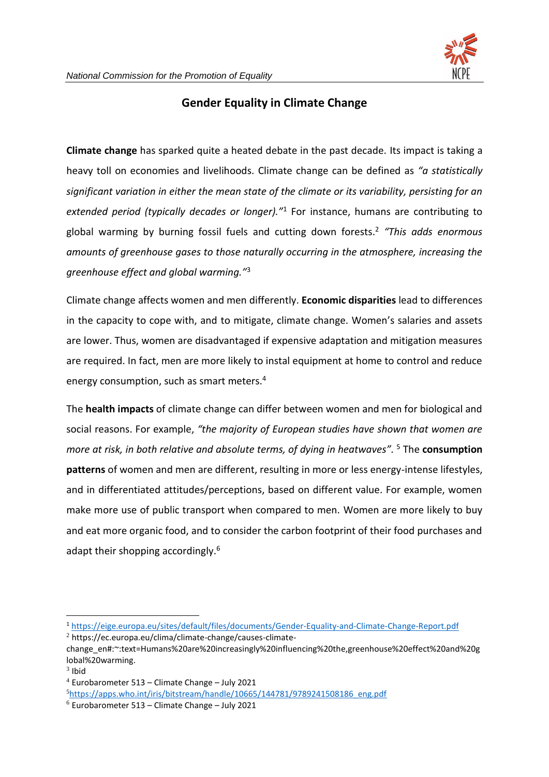

## **Gender Equality in Climate Change**

**Climate change** has sparked quite a heated debate in the past decade. Its impact is taking a heavy toll on economies and livelihoods. Climate change can be defined as *"a statistically significant variation in either the mean state of the climate or its variability, persisting for an extended period (typically decades or longer)."*<sup>1</sup> For instance, humans are contributing to global warming by burning fossil fuels and cutting down forests. 2 *"This adds enormous amounts of greenhouse gases to those naturally occurring in the atmosphere, increasing the greenhouse effect and global warming."* 3

Climate change affects women and men differently. **Economic disparities** lead to differences in the capacity to cope with, and to mitigate, climate change. Women's salaries and assets are lower. Thus, women are disadvantaged if expensive adaptation and mitigation measures are required. In fact, men are more likely to instal equipment at home to control and reduce energy consumption, such as smart meters.<sup>4</sup>

The **health impacts** of climate change can differ between women and men for biological and social reasons. For example, *"the majority of European studies have shown that women are more at risk, in both relative and absolute terms, of dying in heatwaves".*  <sup>5</sup> The **consumption patterns** of women and men are different, resulting in more or less energy-intense lifestyles, and in differentiated attitudes/perceptions, based on different value. For example, women make more use of public transport when compared to men. Women are more likely to buy and eat more organic food, and to consider the carbon footprint of their food purchases and adapt their shopping accordingly.<sup>6</sup>

<sup>1</sup> <https://eige.europa.eu/sites/default/files/documents/Gender-Equality-and-Climate-Change-Report.pdf>

<sup>2</sup> https://ec.europa.eu/clima/climate-change/causes-climate-

change\_en#:~:text=Humans%20are%20increasingly%20influencing%20the,greenhouse%20effect%20and%20g lobal%20warming.

 $3$  Ibid

 $4$  Eurobarometer 513 – Climate Change – July 2021

<sup>5</sup>[https://apps.who.int/iris/bitstream/handle/10665/144781/9789241508186\\_eng.pdf](https://apps.who.int/iris/bitstream/handle/10665/144781/9789241508186_eng.pdf)

 $6$  Eurobarometer 513 – Climate Change – July 2021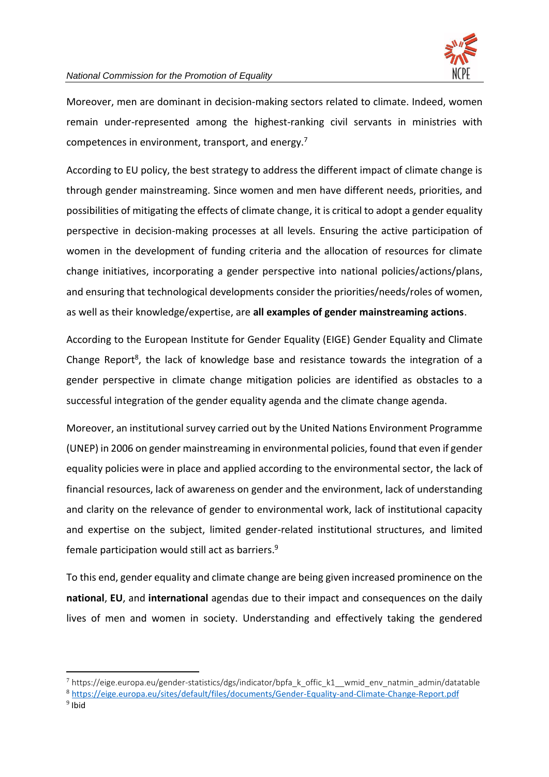

Moreover, men are dominant in decision-making sectors related to climate. Indeed, women remain under-represented among the highest-ranking civil servants in ministries with competences in environment, transport, and energy. $<sup>7</sup>$ </sup>

According to EU policy, the best strategy to address the different impact of climate change is through gender mainstreaming. Since women and men have different needs, priorities, and possibilities of mitigating the effects of climate change, it is critical to adopt a gender equality perspective in decision-making processes at all levels. Ensuring the active participation of women in the development of funding criteria and the allocation of resources for climate change initiatives, incorporating a gender perspective into national policies/actions/plans, and ensuring that technological developments consider the priorities/needs/roles of women, as well as their knowledge/expertise, are **all examples of gender mainstreaming actions**.

According to the European Institute for Gender Equality (EIGE) Gender Equality and Climate Change Report<sup>8</sup>, the lack of knowledge base and resistance towards the integration of a gender perspective in climate change mitigation policies are identified as obstacles to a successful integration of the gender equality agenda and the climate change agenda.

Moreover, an institutional survey carried out by the United Nations Environment Programme (UNEP) in 2006 on gender mainstreaming in environmental policies, found that even if gender equality policies were in place and applied according to the environmental sector, the lack of financial resources, lack of awareness on gender and the environment, lack of understanding and clarity on the relevance of gender to environmental work, lack of institutional capacity and expertise on the subject, limited gender-related institutional structures, and limited female participation would still act as barriers. 9

To this end, gender equality and climate change are being given increased prominence on the **national**, **EU**, and **international** agendas due to their impact and consequences on the daily lives of men and women in society. Understanding and effectively taking the gendered

 $7$  https://eige.europa.eu/gender-statistics/dgs/indicator/bpfa k offic k1 wmid env natmin admin/datatable

<sup>8</sup> <https://eige.europa.eu/sites/default/files/documents/Gender-Equality-and-Climate-Change-Report.pdf>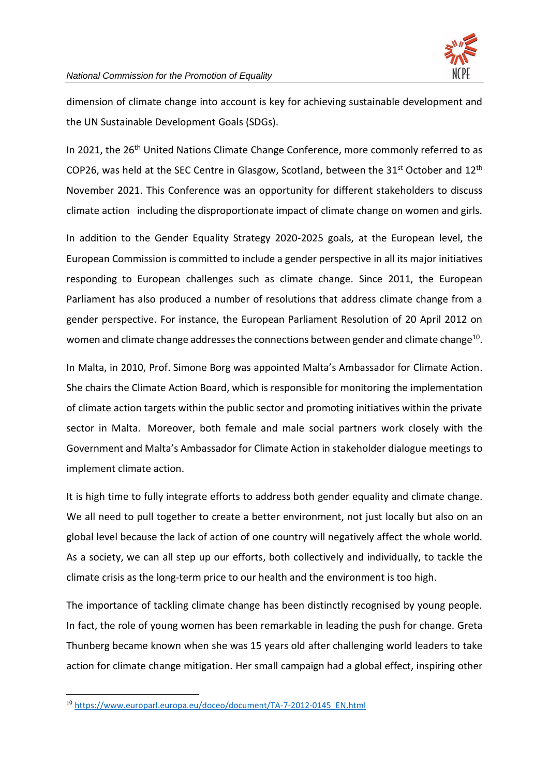

dimension of climate change into account is key for achieving sustainable development and the UN Sustainable Development Goals (SDGs).

In 2021, the 26<sup>th</sup> United Nations Climate Change Conference, more commonly referred to as COP26, was held at the SEC Centre in Glasgow, Scotland, between the  $31^{st}$  October and  $12^{th}$ November 2021. This Conference was an opportunity for different stakeholders to discuss climate action including the disproportionate impact of climate change on women and girls.

In addition to the Gender Equality Strategy 2020-2025 goals, at the European level, the European Commission is committed to include a gender perspective in all its major initiatives responding to European challenges such as climate change. Since 2011, the European Parliament has also produced a number of resolutions that address climate change from a gender perspective. For instance, the European Parliament Resolution of 20 April 2012 on women and climate change addresses the connections between gender and climate change<sup>10</sup>.

In Malta, in 2010, Prof. Simone Borg was appointed Malta's Ambassador for Climate Action. She chairs the Climate Action Board, which is responsible for monitoring the implementation of climate action targets within the public sector and promoting initiatives within the private sector in Malta. Moreover, both female and male social partners work closely with the Government and Malta's Ambassador for Climate Action in stakeholder dialogue meetings to implement climate action.

It is high time to fully integrate efforts to address both gender equality and climate change. We all need to pull together to create a better environment, not just locally but also on an global level because the lack of action of one country will negatively affect the whole world. As a society, we can all step up our efforts, both collectively and individually, to tackle the climate crisis as the long-term price to our health and the environment is too high.

The importance of tackling climate change has been distinctly recognised by young people. In fact, the role of young women has been remarkable in leading the push for change. Greta Thunberg became known when she was 15 years old after challenging world leaders to take action for climate change mitigation. Her small campaign had a global effect, inspiring other

<sup>10</sup> [https://www.europarl.europa.eu/doceo/document/TA-7-2012-0145\\_EN.html](https://www.europarl.europa.eu/doceo/document/TA-7-2012-0145_EN.html)